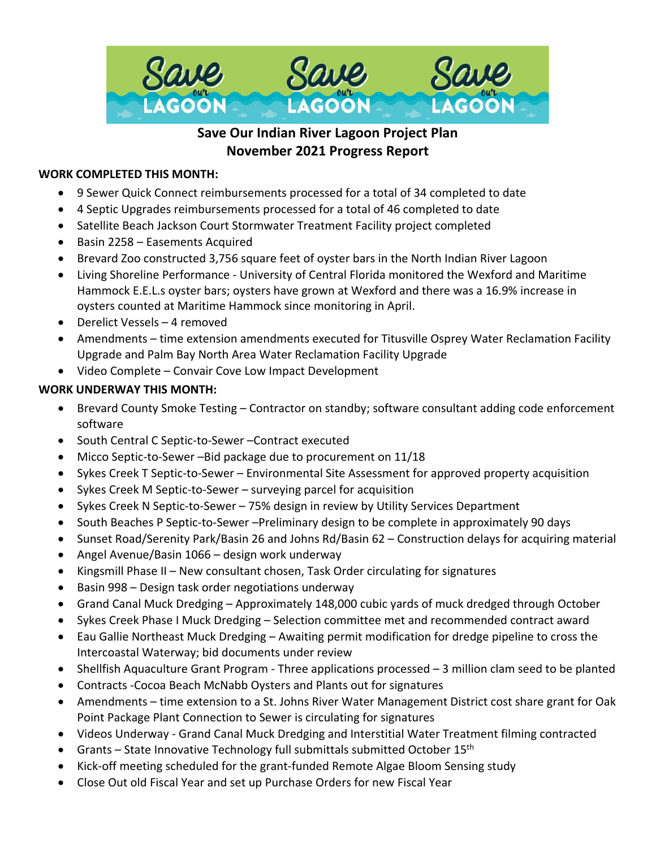

# **Save Our Indian River Lagoon Project Plan November 2021 Progress Report**

### **WORK COMPLETED THIS MONTH:**

- 9 Sewer Quick Connect reimbursements processed for a total of 34 completed to date
- 4 Septic Upgrades reimbursements processed for a total of 46 completed to date
- Satellite Beach Jackson Court Stormwater Treatment Facility project completed
- Basin 2258 Easements Acquired
- Brevard Zoo constructed 3,756 square feet of oyster bars in the North Indian River Lagoon
- Living Shoreline Performance University of Central Florida monitored the Wexford and Maritime Hammock E.E.L.s oyster bars; oysters have grown at Wexford and there was a 16.9% increase in oysters counted at Maritime Hammock since monitoring in April.
- Derelict Vessels 4 removed
- Amendments time extension amendments executed for Titusville Osprey Water Reclamation Facility Upgrade and Palm Bay North Area Water Reclamation Facility Upgrade
- Video Complete Convair Cove Low Impact Development

# **WORK UNDERWAY THIS MONTH:**

- Brevard County Smoke Testing Contractor on standby; software consultant adding code enforcement software
- South Central C Septic-to-Sewer –Contract executed
- Micco Septic-to-Sewer –Bid package due to procurement on 11/18
- Sykes Creek T Septic-to-Sewer Environmental Site Assessment for approved property acquisition
- Sykes Creek M Septic-to-Sewer surveying parcel for acquisition
- Sykes Creek N Septic-to-Sewer 75% design in review by Utility Services Department
- South Beaches P Septic-to-Sewer –Preliminary design to be complete in approximately 90 days
- Sunset Road/Serenity Park/Basin 26 and Johns Rd/Basin 62 Construction delays for acquiring material
- Angel Avenue/Basin 1066 design work underway
- Kingsmill Phase II New consultant chosen, Task Order circulating for signatures
- Basin 998 Design task order negotiations underway
- Grand Canal Muck Dredging Approximately 148,000 cubic yards of muck dredged through October
- Sykes Creek Phase I Muck Dredging Selection committee met and recommended contract award
- Eau Gallie Northeast Muck Dredging Awaiting permit modification for dredge pipeline to cross the Intercoastal Waterway; bid documents under review
- Shellfish Aquaculture Grant Program Three applications processed 3 million clam seed to be planted
- Contracts -Cocoa Beach McNabb Oysters and Plants out for signatures
- Amendments time extension to a St. Johns River Water Management District cost share grant for Oak Point Package Plant Connection to Sewer is circulating for signatures
- Videos Underway Grand Canal Muck Dredging and Interstitial Water Treatment filming contracted
- Grants State Innovative Technology full submittals submitted October  $15<sup>th</sup>$
- Kick-off meeting scheduled for the grant-funded Remote Algae Bloom Sensing study
- Close Out old Fiscal Year and set up Purchase Orders for new Fiscal Year